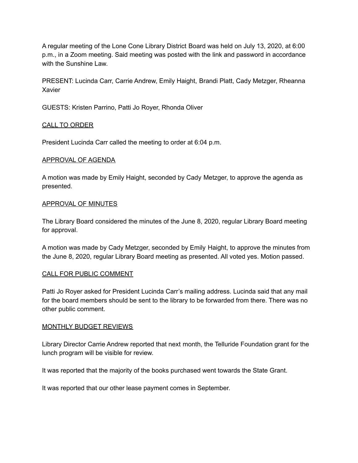A regular meeting of the Lone Cone Library District Board was held on July 13, 2020, at 6:00 p.m., in a Zoom meeting. Said meeting was posted with the link and password in accordance with the Sunshine Law.

PRESENT: Lucinda Carr, Carrie Andrew, Emily Haight, Brandi Platt, Cady Metzger, Rheanna Xavier

GUESTS: Kristen Parrino, Patti Jo Royer, Rhonda Oliver

#### CALL TO ORDER

President Lucinda Carr called the meeting to order at 6:04 p.m.

#### APPROVAL OF AGENDA

A motion was made by Emily Haight, seconded by Cady Metzger, to approve the agenda as presented.

#### APPROVAL OF MINUTES

The Library Board considered the minutes of the June 8, 2020, regular Library Board meeting for approval.

A motion was made by Cady Metzger, seconded by Emily Haight, to approve the minutes from the June 8, 2020, regular Library Board meeting as presented. All voted yes. Motion passed.

#### CALL FOR PUBLIC COMMENT

Patti Jo Royer asked for President Lucinda Carr's mailing address. Lucinda said that any mail for the board members should be sent to the library to be forwarded from there. There was no other public comment.

#### MONTHLY BUDGET REVIEWS

Library Director Carrie Andrew reported that next month, the Telluride Foundation grant for the lunch program will be visible for review.

It was reported that the majority of the books purchased went towards the State Grant.

It was reported that our other lease payment comes in September.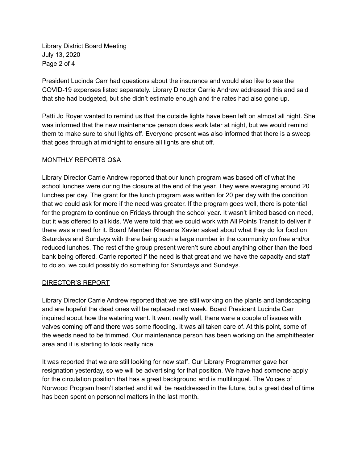Library District Board Meeting July 13, 2020 Page 2 of 4

President Lucinda Carr had questions about the insurance and would also like to see the COVID-19 expenses listed separately. Library Director Carrie Andrew addressed this and said that she had budgeted, but she didn't estimate enough and the rates had also gone up.

Patti Jo Royer wanted to remind us that the outside lights have been left on almost all night. She was informed that the new maintenance person does work later at night, but we would remind them to make sure to shut lights off. Everyone present was also informed that there is a sweep that goes through at midnight to ensure all lights are shut off.

# MONTHLY REPORTS Q&A

Library Director Carrie Andrew reported that our lunch program was based off of what the school lunches were during the closure at the end of the year. They were averaging around 20 lunches per day. The grant for the lunch program was written for 20 per day with the condition that we could ask for more if the need was greater. If the program goes well, there is potential for the program to continue on Fridays through the school year. It wasn't limited based on need, but it was offered to all kids. We were told that we could work with All Points Transit to deliver if there was a need for it. Board Member Rheanna Xavier asked about what they do for food on Saturdays and Sundays with there being such a large number in the community on free and/or reduced lunches. The rest of the group present weren't sure about anything other than the food bank being offered. Carrie reported if the need is that great and we have the capacity and staff to do so, we could possibly do something for Saturdays and Sundays.

#### DIRECTOR'S REPORT

Library Director Carrie Andrew reported that we are still working on the plants and landscaping and are hopeful the dead ones will be replaced next week. Board President Lucinda Carr inquired about how the watering went. It went really well, there were a couple of issues with valves coming off and there was some flooding. It was all taken care of. At this point, some of the weeds need to be trimmed. Our maintenance person has been working on the amphitheater area and it is starting to look really nice.

It was reported that we are still looking for new staff. Our Library Programmer gave her resignation yesterday, so we will be advertising for that position. We have had someone apply for the circulation position that has a great background and is multilingual. The Voices of Norwood Program hasn't started and it will be readdressed in the future, but a great deal of time has been spent on personnel matters in the last month.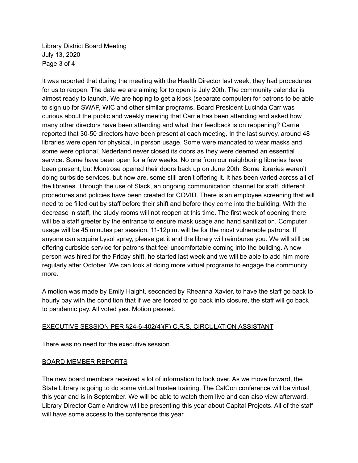Library District Board Meeting July 13, 2020 Page 3 of 4

It was reported that during the meeting with the Health Director last week, they had procedures for us to reopen. The date we are aiming for to open is July 20th. The community calendar is almost ready to launch. We are hoping to get a kiosk (separate computer) for patrons to be able to sign up for SWAP, WIC and other similar programs. Board President Lucinda Carr was curious about the public and weekly meeting that Carrie has been attending and asked how many other directors have been attending and what their feedback is on reopening? Carrie reported that 30-50 directors have been present at each meeting. In the last survey, around 48 libraries were open for physical, in person usage. Some were mandated to wear masks and some were optional. Nederland never closed its doors as they were deemed an essential service. Some have been open for a few weeks. No one from our neighboring libraries have been present, but Montrose opened their doors back up on June 20th. Some libraries weren't doing curbside services, but now are, some still aren't offering it. It has been varied across all of the libraries. Through the use of Slack, an ongoing communication channel for staff, different procedures and policies have been created for COVID. There is an employee screening that will need to be filled out by staff before their shift and before they come into the building. With the decrease in staff, the study rooms will not reopen at this time. The first week of opening there will be a staff greeter by the entrance to ensure mask usage and hand sanitization. Computer usage will be 45 minutes per session, 11-12p.m. will be for the most vulnerable patrons. If anyone can acquire Lysol spray, please get it and the library will reimburse you. We will still be offering curbside service for patrons that feel uncomfortable coming into the building. A new person was hired for the Friday shift, he started last week and we will be able to add him more regularly after October. We can look at doing more virtual programs to engage the community more.

A motion was made by Emily Haight, seconded by Rheanna Xavier, to have the staff go back to hourly pay with the condition that if we are forced to go back into closure, the staff will go back to pandemic pay. All voted yes. Motion passed.

#### EXECUTIVE SESSION PER §24-6-402(4)(F) C.R.S, CIRCULATION ASSISTANT

There was no need for the executive session.

#### BOARD MEMBER REPORTS

The new board members received a lot of information to look over. As we move forward, the State Library is going to do some virtual trustee training. The CalCon conference will be virtual this year and is in September. We will be able to watch them live and can also view afterward. Library Director Carrie Andrew will be presenting this year about Capital Projects. All of the staff will have some access to the conference this year.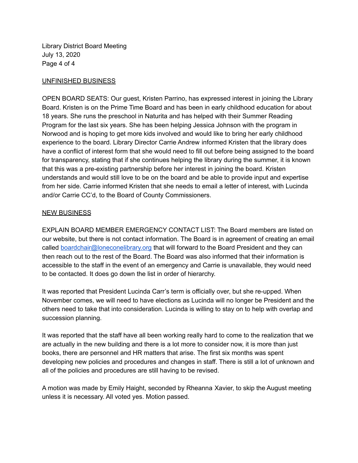Library District Board Meeting July 13, 2020 Page 4 of 4

### UNFINISHED BUSINESS

OPEN BOARD SEATS: Our guest, Kristen Parrino, has expressed interest in joining the Library Board. Kristen is on the Prime Time Board and has been in early childhood education for about 18 years. She runs the preschool in Naturita and has helped with their Summer Reading Program for the last six years. She has been helping Jessica Johnson with the program in Norwood and is hoping to get more kids involved and would like to bring her early childhood experience to the board. Library Director Carrie Andrew informed Kristen that the library does have a conflict of interest form that she would need to fill out before being assigned to the board for transparency, stating that if she continues helping the library during the summer, it is known that this was a pre-existing partnership before her interest in joining the board. Kristen understands and would still love to be on the board and be able to provide input and expertise from her side. Carrie informed Kristen that she needs to email a letter of interest, with Lucinda and/or Carrie CC'd, to the Board of County Commissioners.

# NEW BUSINESS

EXPLAIN BOARD MEMBER EMERGENCY CONTACT LIST: The Board members are listed on our website, but there is not contact information. The Board is in agreement of creating an email called [boardchair@loneconelibrary.org](mailto:boardchair@loneconelibrary.org) that will forward to the Board President and they can then reach out to the rest of the Board. The Board was also informed that their information is accessible to the staff in the event of an emergency and Carrie is unavailable, they would need to be contacted. It does go down the list in order of hierarchy.

It was reported that President Lucinda Carr's term is officially over, but she re-upped. When November comes, we will need to have elections as Lucinda will no longer be President and the others need to take that into consideration. Lucinda is willing to stay on to help with overlap and succession planning.

It was reported that the staff have all been working really hard to come to the realization that we are actually in the new building and there is a lot more to consider now, it is more than just books, there are personnel and HR matters that arise. The first six months was spent developing new policies and procedures and changes in staff. There is still a lot of unknown and all of the policies and procedures are still having to be revised.

A motion was made by Emily Haight, seconded by Rheanna Xavier, to skip the August meeting unless it is necessary. All voted yes. Motion passed.